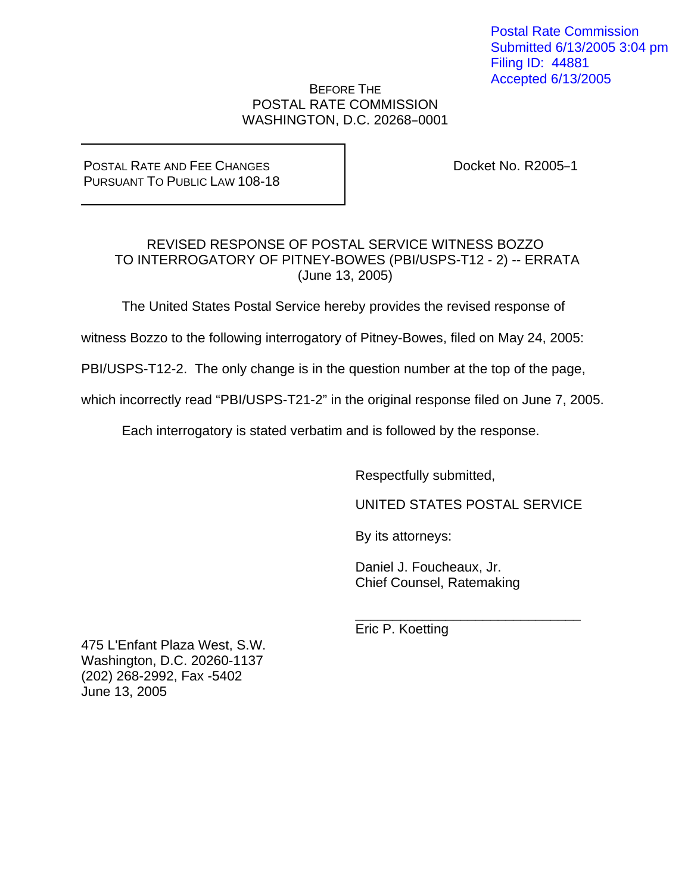Postal Rate Commission Submitted 6/13/2005 3:04 pm Filing ID: 44881 Accepted 6/13/2005

## BEFORE THE POSTAL RATE COMMISSION WASHINGTON, D.C. 20268-0001

POSTAL RATE AND FEE CHANGES PURSUANT TO PUBLIC LAW 108-18 Docket No. R2005-1

## REVISED RESPONSE OF POSTAL SERVICE WITNESS BOZZO TO INTERROGATORY OF PITNEY-BOWES (PBI/USPS-T12 - 2) -- ERRATA (June 13, 2005)

The United States Postal Service hereby provides the revised response of

witness Bozzo to the following interrogatory of Pitney-Bowes, filed on May 24, 2005:

PBI/USPS-T12-2. The only change is in the question number at the top of the page,

which incorrectly read "PBI/USPS-T21-2" in the original response filed on June 7, 2005.

Each interrogatory is stated verbatim and is followed by the response.

 $\overline{\phantom{a}}$  , and the contract of the contract of the contract of the contract of the contract of the contract of the contract of the contract of the contract of the contract of the contract of the contract of the contrac

Respectfully submitted,

UNITED STATES POSTAL SERVICE

By its attorneys:

 Daniel J. Foucheaux, Jr. Chief Counsel, Ratemaking

Eric P. Koetting

475 L'Enfant Plaza West, S.W. Washington, D.C. 20260-1137 (202) 268-2992, Fax -5402 June 13, 2005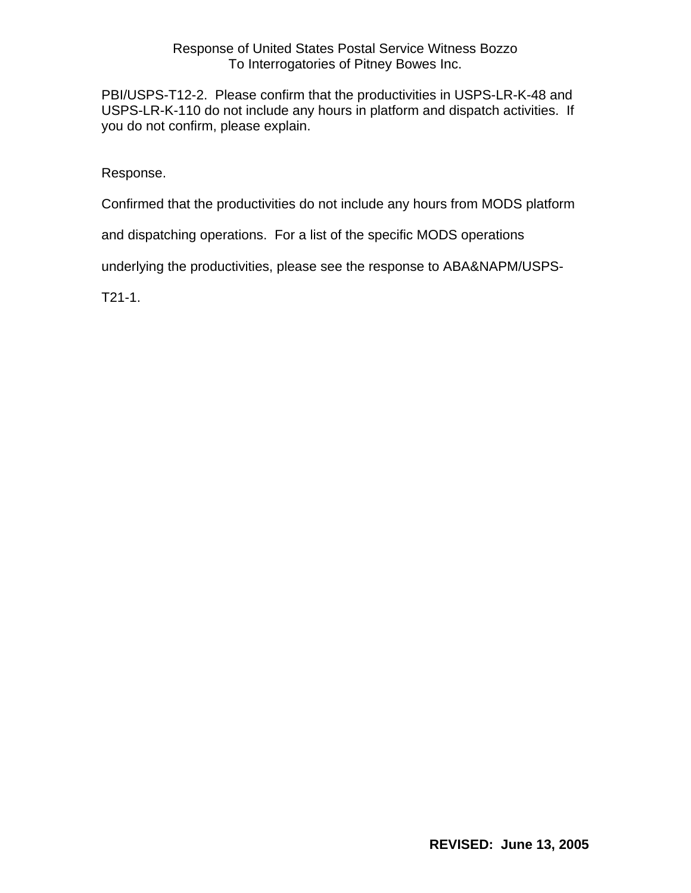## Response of United States Postal Service Witness Bozzo To Interrogatories of Pitney Bowes Inc.

PBI/USPS-T12-2. Please confirm that the productivities in USPS-LR-K-48 and USPS-LR-K-110 do not include any hours in platform and dispatch activities. If you do not confirm, please explain.

Response.

Confirmed that the productivities do not include any hours from MODS platform

and dispatching operations. For a list of the specific MODS operations

underlying the productivities, please see the response to ABA&NAPM/USPS-

T21-1.